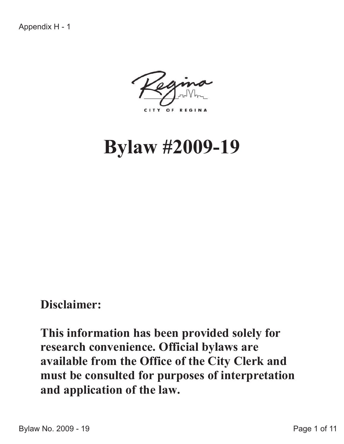CITY OF REGINA

# **Bylaw #2009-19**

## **Disclaimer:**

**This information has been provided solely for research convenience. Official bylaws are available from the Office of the City Clerk and must be consulted for purposes of interpretation and application of the law.**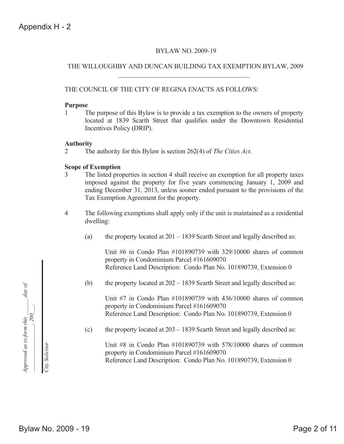#### BYLAW NO. 2009-19

#### THE WILLOUGHBY AND DUNCAN BUILDING TAX EXEMPTION BYLAW, 2009

#### THE COUNCIL OF THE CITY OF REGINA ENACTS AS FOLLOWS:

#### **Purpose**

1 The purpose of this Bylaw is to provide a tax exemption to the owners of property located at 1839 Scarth Street that qualifies under the Downtown Residential Incentives Policy (DRIP).

#### **Authority**

2 The authority for this Bylaw is section 262(4) of *The Cities Act*.

#### **Scope of Exemption**

- 3 The listed properties in section 4 shall receive an exemption for all property taxes imposed against the property for five years commencing January 1, 2009 and ending December 31, 2013, unless sooner ended pursuant to the provisions of the Tax Exemption Agreement for the property.
- 4 The following exemptions shall apply only if the unit is maintained as a residential dwelling:
	- (a) the property located at  $201 1839$  Scarth Street and legally described as:

Unit #6 in Condo Plan #101890739 with 329/10000 shares of common property in Condominium Parcel #161609070 Reference Land Description: Condo Plan No. 101890739, Extension 0

(b) the property located at  $202 - 1839$  Scarth Street and legally described as:

Unit #7 in Condo Plan #101890739 with 436/10000 shares of common property in Condominium Parcel #161609070 Reference Land Description: Condo Plan No. 101890739, Extension 0

(c) the property located at 203 – 1839 Scarth Street and legally described as:

Unit #8 in Condo Plan #101890739 with 578/10000 shares of common property in Condominium Parcel #161609070 Reference Land Description: Condo Plan No. 101890739, Extension 0



*City Solicitor*

City Solicitor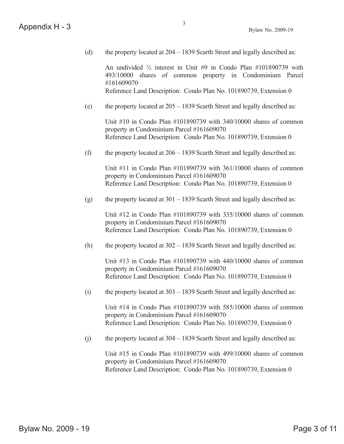(d) the property located at 204 – 1839 Scarth Street and legally described as:

An undivided ½ interest in Unit #9 in Condo Plan #101890739 with 493/10000 shares of common property in Condominium Parcel #161609070 Reference Land Description: Condo Plan No. 101890739, Extension 0

(e) the property located at  $205 - 1839$  Scarth Street and legally described as:

Unit #10 in Condo Plan #101890739 with 340/10000 shares of common property in Condominium Parcel #161609070 Reference Land Description: Condo Plan No. 101890739, Extension 0

(f) the property located at  $206 - 1839$  Scarth Street and legally described as:

Unit #11 in Condo Plan #101890739 with 361/10000 shares of common property in Condominium Parcel #161609070 Reference Land Description: Condo Plan No. 101890739, Extension 0

(g) the property located at  $301 - 1839$  Scarth Street and legally described as:

Unit #12 in Condo Plan #101890739 with 335/10000 shares of common property in Condominium Parcel #161609070 Reference Land Description: Condo Plan No. 101890739, Extension 0

(h) the property located at  $302 - 1839$  Scarth Street and legally described as:

Unit  $\#13$  in Condo Plan  $\#101890739$  with 440/10000 shares of common property in Condominium Parcel #161609070 Reference Land Description: Condo Plan No. 101890739, Extension 0

(i) the property located at  $303 - 1839$  Scarth Street and legally described as:

Unit  $\#14$  in Condo Plan  $\#101890739$  with 585/10000 shares of common property in Condominium Parcel #161609070 Reference Land Description: Condo Plan No. 101890739, Extension 0

(j) the property located at  $304 - 1839$  Scarth Street and legally described as:

Unit #15 in Condo Plan #101890739 with 499/10000 shares of common property in Condominium Parcel #161609070 Reference Land Description: Condo Plan No. 101890739, Extension 0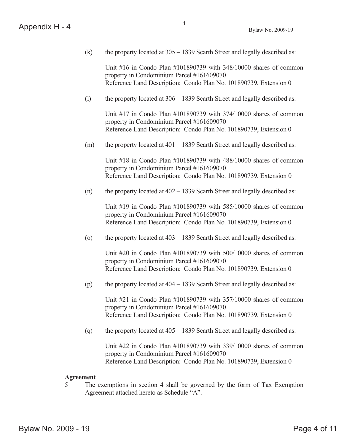(k) the property located at  $305 - 1839$  Scarth Street and legally described as:

4

Unit #16 in Condo Plan #101890739 with 348/10000 shares of common property in Condominium Parcel #161609070 Reference Land Description: Condo Plan No. 101890739, Extension 0

(l) the property located at 306 – 1839 Scarth Street and legally described as:

Unit #17 in Condo Plan #101890739 with 374/10000 shares of common property in Condominium Parcel #161609070 Reference Land Description: Condo Plan No. 101890739, Extension 0

(m) the property located at  $401 - 1839$  Scarth Street and legally described as:

Unit #18 in Condo Plan #101890739 with 488/10000 shares of common property in Condominium Parcel #161609070 Reference Land Description: Condo Plan No. 101890739, Extension 0

(n) the property located at  $402 - 1839$  Scarth Street and legally described as:

Unit #19 in Condo Plan #101890739 with 585/10000 shares of common property in Condominium Parcel #161609070 Reference Land Description: Condo Plan No. 101890739, Extension 0

(o) the property located at  $403 - 1839$  Scarth Street and legally described as:

Unit #20 in Condo Plan #101890739 with 500/10000 shares of common property in Condominium Parcel #161609070 Reference Land Description: Condo Plan No. 101890739, Extension 0

(p) the property located at  $404 - 1839$  Scarth Street and legally described as:

Unit #21 in Condo Plan #101890739 with 357/10000 shares of common property in Condominium Parcel #161609070 Reference Land Description: Condo Plan No. 101890739, Extension 0

(q) the property located at  $405 - 1839$  Scarth Street and legally described as:

Unit #22 in Condo Plan #101890739 with 339/10000 shares of common property in Condominium Parcel #161609070 Reference Land Description: Condo Plan No. 101890739, Extension 0

#### **Agreement**

5 The exemptions in section 4 shall be governed by the form of Tax Exemption Agreement attached hereto as Schedule "A".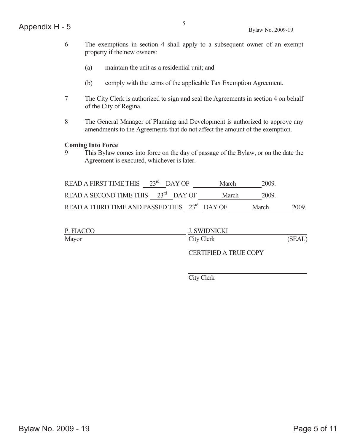- 6 The exemptions in section 4 shall apply to a subsequent owner of an exempt property if the new owners:
	- (a) maintain the unit as a residential unit; and
	- (b) comply with the terms of the applicable Tax Exemption Agreement.
- 7 The City Clerk is authorized to sign and seal the Agreements in section 4 on behalf of the City of Regina.
- 8 The General Manager of Planning and Development is authorized to approve any amendments to the Agreements that do not affect the amount of the exemption.

#### **Coming Into Force**

9 This Bylaw comes into force on the day of passage of the Bylaw, or on the date the Agreement is executed, whichever is later.

| READ A FIRST TIME THIS $23rd$ DAY OF            | March | - 2009. |       |
|-------------------------------------------------|-------|---------|-------|
| READ A SECOND TIME THIS $23^{\text{rd}}$ DAY OF | March | - 2009. |       |
| READ A THIRD TIME AND PASSED THIS 23rd DAY OF   |       | March   | 2009. |

| P. FIACCO | J. SWIDNICKI                 |        |
|-----------|------------------------------|--------|
| Mayor     | City Clerk                   | (SEAL) |
|           | <b>CERTIFIED A TRUE COPY</b> |        |

City Clerk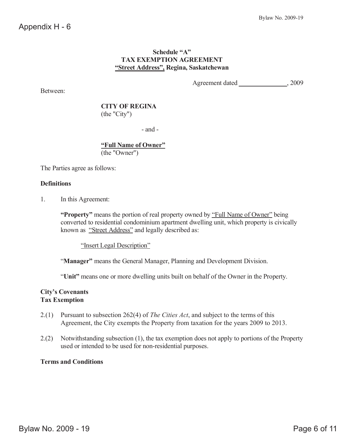#### **Schedule "A" TAX EXEMPTION AGREEMENT "Street Address", Regina, Saskatchewan**

Between:

Agreement dated , 2009

 **CITY OF REGINA** (the "City")

- and -

**"Full Name of Owner"** (the "Owner")

The Parties agree as follows:

#### **Definitions**

1. In this Agreement:

**"Property"** means the portion of real property owned by <u>"Full Name of Owner"</u> being converted to residential condominium apartment dwelling unit, which property is civically known as "Street Address" and legally described as:

"Insert Legal Description"

"**Manager"** means the General Manager, Planning and Development Division.

"**Unit"** means one or more dwelling units built on behalf of the Owner in the Property.

#### **City's Covenants Tax Exemption**

- 2.(1) Pursuant to subsection 262(4) of *The Cities Act*, and subject to the terms of this Agreement, the City exempts the Property from taxation for the years 2009 to 2013.
- 2.(2) Notwithstanding subsection (1), the tax exemption does not apply to portions of the Property used or intended to be used for non-residential purposes.

#### **Terms and Conditions**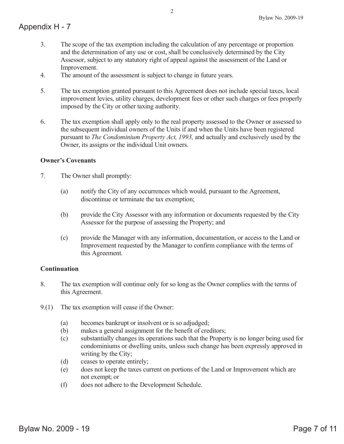- 3. The scope of the tax exemption including the calculation of any percentage or proportion and the determination of any use or cost, shall be conclusively determined by the City Assessor, subject to any statutory right of appeal against the assessment of the Land or Improvement.
- 4. The amount of the assessment is subject to change in future years.
- 5. The tax exemption granted pursuant to this Agreement does not include special taxes, local improvement levies, utility charges, development fees or other such charges or fees properly imposed by the City or other taxing authority.
- 6. The tax exemption shall apply only to the real property assessed to the Owner or assessed to the subsequent individual owners of the Units if and when the Units have been registered pursuant to *The Condominium Property Act, 1993,* and actually and exclusively used by the Owner, its assigns or the individual Unit owners.

#### **Owner's Covenants**

- 7. The Owner shall promptly:
	- (a) notify the City of any occurrences which would, pursuant to the Agreement, discontinue or terminate the tax exemption;
	- (b) provide the City Assessor with any information or documents requested by the City Assessor for the purpose of assessing the Property; and
	- (c) provide the Manager with any information, documentation, or access to the Land or Improvement requested by the Manager to confirm compliance with the terms of this Agreement.

#### **Continuation**

- 8. The tax exemption will continue only for so long as the Owner complies with the terms of this Agreement.
- 9.(1) The tax exemption will cease if the Owner:
	- (a) becomes bankrupt or insolvent or is so adjudged;
	- (b) makes a general assignment for the benefit of creditors;
	- (c) substantially changes its operations such that the Property is no longer being used for condominiums or dwelling units, unless such change has been expressly approved in writing by the City;
	- (d) ceases to operate entirely;
	- (e) does not keep the taxes current on portions of the Land or Improvement which are not exempt; or
	- (f) does not adhere to the Development Schedule.

2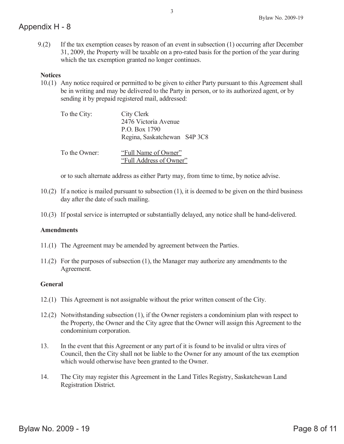9.(2) If the tax exemption ceases by reason of an event in subsection (1) occurring after December 31, 2009, the Property will be taxable on a pro-rated basis for the portion of the year during which the tax exemption granted no longer continues.

#### **Notices**

10.(1) Any notice required or permitted to be given to either Party pursuant to this Agreement shall be in writing and may be delivered to the Party in person, or to its authorized agent, or by sending it by prepaid registered mail, addressed:

| To the City:  | City Clerk<br>2476 Victoria Avenue<br>P.O. Box 1790<br>Regina, Saskatchewan S4P 3C8 |
|---------------|-------------------------------------------------------------------------------------|
| To the Owner: | "Full Name of Owner"<br>"Full Address of Owner"                                     |

or to such alternate address as either Party may, from time to time, by notice advise.

- 10.(2) If a notice is mailed pursuant to subsection (1), it is deemed to be given on the third business day after the date of such mailing.
- 10.(3) If postal service is interrupted or substantially delayed, any notice shall be hand-delivered.

#### **Amendments**

- 11.(1) The Agreement may be amended by agreement between the Parties.
- 11.(2) For the purposes of subsection (1), the Manager may authorize any amendments to the Agreement.

#### **General**

- 12.(1) This Agreement is not assignable without the prior written consent of the City.
- 12.(2) Notwithstanding subsection (1), if the Owner registers a condominium plan with respect to the Property, the Owner and the City agree that the Owner will assign this Agreement to the condominium corporation.
- 13. In the event that this Agreement or any part of it is found to be invalid or ultra vires of Council, then the City shall not be liable to the Owner for any amount of the tax exemption which would otherwise have been granted to the Owner.
- 14. The City may register this Agreement in the Land Titles Registry, Saskatchewan Land Registration District.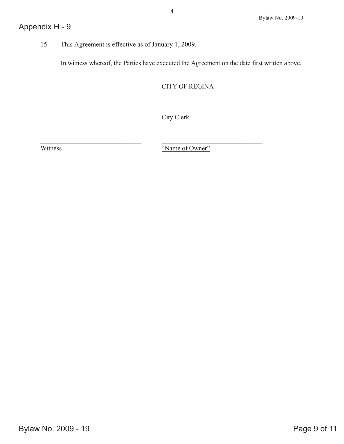15. This Agreement is effective as of January 1, 2009.

In witness whereof, the Parties have executed the Agreement on the date first written above.

CITY OF REGINA

City Clerk

Witness Witness  $\overline{\text{``Name of Owner''}}$ 

\_\_\_\_\_\_ \_\_\_\_\_\_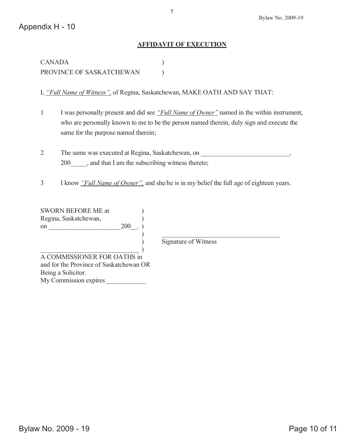#### **AFFIDAVIT OF EXECUTION**

CANADA ) PROVINCE OF SASKATCHEWAN )

I, *"Full Name of Witness",* of Regina, Saskatchewan, MAKE OATH AND SAY THAT:

- 1 I was personally present and did see *"Full Name of Owner"* named in the within instrument, who are personally known to me to be the person named therein, duly sign and execute the same for the purpose named therein;
- 2 The same was executed at Regina, Saskatchewan, on \_\_\_\_\_\_\_\_\_\_\_\_\_\_\_\_\_\_\_\_\_\_\_\_\_\_, 200  $\qquad$ , and that I am the subscribing witness thereto;
- 3 I know *"Full Name of Owner",* and she/he is in my belief the full age of eighteen years.

SWORN BEFORE ME at ) Regina, Saskatchewan,  $200$ . on \_\_\_\_\_\_\_\_\_\_\_\_\_\_\_\_\_\_\_\_\_\_200\_\_. ) ) and the contract of  $\overline{\phantom{a}}$ 

) Signature of Witness

 $\qquad \qquad )$ A COMMISSIONER FOR OATHS in

and for the Province of Saskatchewan OR Being a Solicitor. My Commission expires